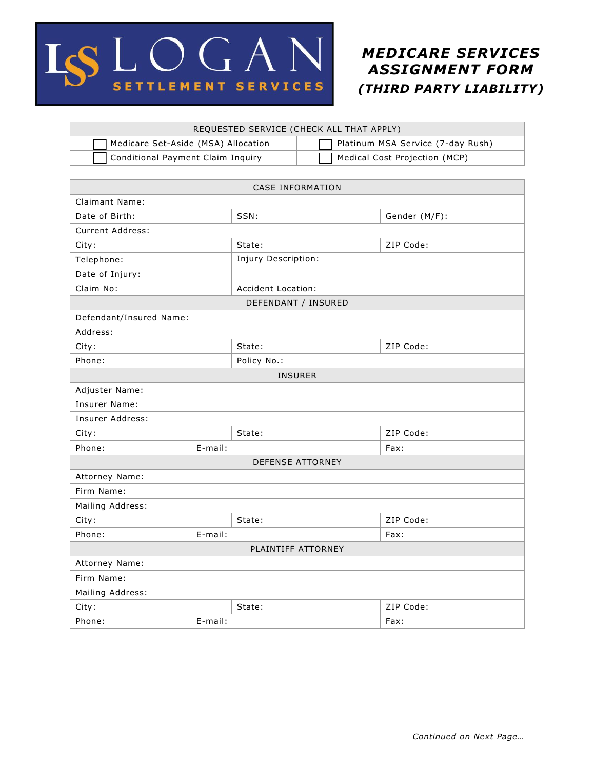

# *MEDICARE SERVICES ASSIGNMENT FORM (THIRD PARTY LIABILITY)*

| REQUESTED SERVICE (CHECK ALL THAT APPLY) |                                   |  |  |
|------------------------------------------|-----------------------------------|--|--|
| Medicare Set-Aside (MSA) Allocation      | Platinum MSA Service (7-day Rush) |  |  |
| Conditional Payment Claim Inquiry        | Medical Cost Projection (MCP)     |  |  |
|                                          |                                   |  |  |

### CASE INFORMATION

| Claimant Name:          |         |                     |               |  |
|-------------------------|---------|---------------------|---------------|--|
| Date of Birth:          |         | SSN:                | Gender (M/F): |  |
| Current Address:        |         |                     |               |  |
| City:                   |         | State:              | ZIP Code:     |  |
| Telephone:              |         | Injury Description: |               |  |
| Date of Injury:         |         |                     |               |  |
| Claim No:               |         | Accident Location:  |               |  |
| DEFENDANT / INSURED     |         |                     |               |  |
| Defendant/Insured Name: |         |                     |               |  |
| Address:                |         |                     |               |  |
| City:                   |         | State:              | ZIP Code:     |  |
| Phone:                  |         | Policy No.:         |               |  |
| <b>INSURER</b>          |         |                     |               |  |
| Adjuster Name:          |         |                     |               |  |
| Insurer Name:           |         |                     |               |  |
| Insurer Address:        |         |                     |               |  |
| City:                   |         | State:              | ZIP Code:     |  |
| Phone:                  | E-mail: |                     | Fax:          |  |
| <b>DEFENSE ATTORNEY</b> |         |                     |               |  |
| Attorney Name:          |         |                     |               |  |
| Firm Name:              |         |                     |               |  |
| Mailing Address:        |         |                     |               |  |
| City:                   |         | State:              | ZIP Code:     |  |
| Phone:                  | E-mail: |                     | Fax:          |  |
| PLAINTIFF ATTORNEY      |         |                     |               |  |
| Attorney Name:          |         |                     |               |  |
| Firm Name:              |         |                     |               |  |
| Mailing Address:        |         |                     |               |  |
| City:                   |         | State:              | ZIP Code:     |  |
| Phone:                  | E-mail: |                     | Fax:          |  |